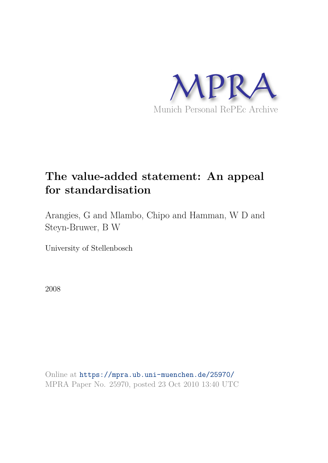

# **The value-added statement: An appeal for standardisation**

Arangies, G and Mlambo, Chipo and Hamman, W D and Steyn-Bruwer, B W

University of Stellenbosch

2008

Online at https://mpra.ub.uni-muenchen.de/25970/ MPRA Paper No. 25970, posted 23 Oct 2010 13:40 UTC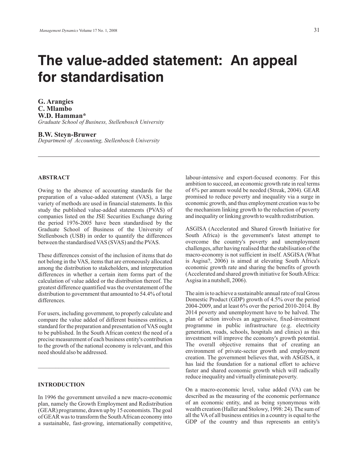# **The value-added statement: An appeal for standardisation**

**G. Arangies C. Mlambo W.D. Hamman\*** *Graduate School of Business, Stellenbosch University*

## **B.W. Steyn-Bruwer**

*Department of Accounting, Stellenbosch University*

## **ABSTRACT**

Owing to the absence of accounting standards for the preparation of a value-added statement (VAS), a large variety of methods are used in financial statements. In this study the published value-added statements (PVAS) of companies listed on the JSE Securities Exchange during the period 1976-2005 have been standardised by the Graduate School of Business of the University of Stellenbosch (USB) in order to quantify the differences between the standardised VAS (SVAS) and the PVAS.

These differences consist of the inclusion of items that do not belong in the VAS, items that are erroneously allocated among the distribution to stakeholders, and interpretation differences in whether a certain item forms part of the calculation of value added or the distribution thereof. The greatest difference quantified was the overstatement of the distribution to government that amounted to 54.4% of total differences.

For users, including government, to properly calculate and compare the value added of different business entities, a standard for the preparation and presentation of VAS ought to be published. In the South African context the need of a precise measurement of each business entity's contribution to the growth of the national economy is relevant, and this need should also be addressed.

 $\_$  ,  $\_$  ,  $\_$  ,  $\_$  ,  $\_$  ,  $\_$  ,  $\_$  ,  $\_$  ,  $\_$  ,  $\_$  ,  $\_$  ,  $\_$  ,  $\_$  ,  $\_$  ,  $\_$ 

## **INTRODUCTION**

In 1996 the government unveiled a new macro-economic plan, namely the Growth Employment and Redistribution (GEAR) programme, drawn up by 15 economists. The goal of GEAR was to transform the SouthAfrican economy into a sustainable, fast-growing, internationally competitive,

labour-intensive and export-focused economy. For this ambition to succeed, an economic growth rate in real terms of 6% per annum would be needed (Streak, 2004). GEAR promised to reduce poverty and inequality via a surge in economic growth, and thus employment creation was to be the mechanism linking growth to the reduction of poverty and inequality or linking growth to wealth redistribution.

ASGISA (Accelerated and Shared Growth Initiative for South Africa) is the government's latest attempt to overcome the country's poverty and unemployment challenges, after having realised that the stabilisation of the macro-economy is not sufficient in itself. ASGISA (What is Asgisa?, 2006) is aimed at elevating South Africa's economic growth rate and sharing the benefits of growth (Accelerated and shared growth initiative for SouthAfrica: Asgisa in a nutshell, 2006).

The aim is to achieve a sustainable annual rate of real Gross Domestic Product (GDP) growth of 4.5% over the period 2004-2009, and at least 6% over the period 2010-2014. By 2014 poverty and unemployment have to be halved. The plan of action involves an aggressive, fixed-investment programme in public infrastructure (e.g. electricity generation, roads, schools, hospitals and clinics) as this investment will improve the economy's growth potential. The overall objective remains that of creating an environment of private-sector growth and employment creation. The government believes that, with ASGISA, it has laid the foundation for a national effort to achieve faster and shared economic growth which will radically reduce inequality and virtually eliminate poverty.

On a macro-economic level, value added (VA) can be described as the measuring of the economic performance of an economic entity, and as being synonymous with wealth creation (Haller and Stolowy, 1998: 24). The sum of all the VA of all business entities in a country is equal to the GDP of the country and thus represents an entity's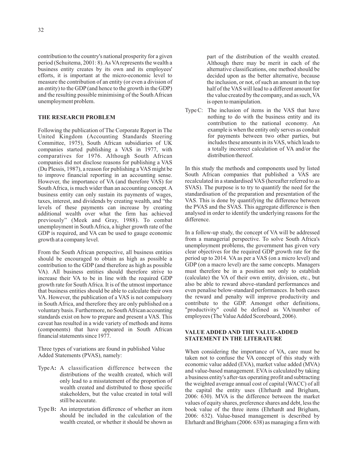contribution to the country's national prosperity for a given period (Schuitema, 2001: 8).As VA represents the wealth a business entity creates by its own and its employees' efforts, it is important at the micro-economic level to measure the contribution of an entity (or even a division of an entity) to the GDP (and hence to the growth in the GDP) and the resulting possible minimising of the South African unemployment problem.

### **THE RESEARCH PROBLEM**

Following the publication of The Corporate Report in The United Kingdom (Accounting Standards Steering Committee, 1975), South African subsidiaries of UK companies started publishing a VAS in 1977, with comparatives for 1976. Although South African companies did not disclose reasons for publishing a VAS (Du Plessis, 1987), a reason for publishing a VAS might be to improve financial reporting in an accounting sense. However, the importance of VA (and therefore VAS) for South Africa, is much wider than an accounting concept. A business entity can only sustain its payments of wages, taxes, interest, and dividends by creating wealth, and "the levels of these payments can increase by creating additional wealth over what the firm has achieved previously" (Meek and Gray, 1988). To combat unemployment in South Africa, a higher growth rate of the GDP is required, and VA can be used to gauge economic growth at a company level.

From the South African perspective, all business entities should be encouraged to obtain as high as possible a contribution to the GDP (and therefore as high as possible VA). All business entities should therefore strive to increase their VA to be in line with the required GDP growth rate for South Africa. It is of the utmost importance that business entities should be able to calculate their own VA. However, the publication of a VAS is not compulsory in South Africa, and therefore they are only published on a voluntary basis. Furthermore, no SouthAfrican accounting standards exist on how to prepare and present a VAS. This caveat has resulted in a wide variety of methods and items (components) that have appeared in South African financial statements since 1977.

Three types of variations are found in published Value Added Statements (PVAS), namely:

- TypeA: A classification difference between the distributions of the wealth created, which will only lead to a misstatement of the proportion of wealth created and distributed to those specific stakeholders, but the value created in total will still be accurate.
- Type B: An interpretation difference of whether an item should be included in the calculation of the wealth created, or whether it should be shown as

part of the distribution of the wealth created. Although there may be merit in each of the alternative classifications, one method should be decided upon as the better alternative, because the inclusion, or not, of such an amount in the top half of the VAS will lead to a different amount for the value created by the company, and as such, VA is open to manipulation.

Type C: The inclusion of items in the VAS that have nothing to do with the business entity and its contribution to the national economy. An example is when the entity only serves as conduit for payments between two other parties, but includes these amounts in its VAS, which leads to a totally incorrect calculation of VA and/or the distribution thereof.

In this study the methods and components used by listed South African companies that published a VAS are recalculated in a standardised VAS (hereafter referred to as SVAS). The purpose is to try to quantify the need for the standardisation of the preparation and presentation of the VAS. This is done by quantifying the difference between the PVAS and the SVAS. This aggregate difference is then analysed in order to identify the underlying reasons for the difference.

In a follow-up study, the concept of VA will be addressed from a managerial perspective. To solve South Africa's unemployment problems, the government has given very clear objectives for the required GDP growth rate for the period up to 2014. VA as per a VAS (on a micro level) and GDP (on a macro level) are the same concepts. Managers must therefore be in a position not only to establish (calculate) the VA of their own entity, division, etc., but also be able to reward above-standard performances and even penalise below-standard performances. In both cases the reward and penalty will improve productivity and contribute to the GDP. Amongst other definitions, "productivity" could be defined as VA/number of employees (The Value Added Scoreboard, 2006).

## **VALUE ADDED AND THE VALUE-ADDED STATEMENT IN THE LITERATURE**

When considering the importance of VA, care must be taken not to confuse the VA concept of this study with economic value added (EVA), market value added (MVA) and value-based management. EVA is calculated by taking a business entity's after-tax operating profit and subtracting the weighted average annual cost of capital (WACC) of all the capital the entity uses (Ehrhardt and Brigham, 2006: 630). MVA is the difference between the market values of equity shares, preference shares and debt, less the book value of the three items (Ehrhardt and Brigham, 2006: 632). Value-based management is described by Ehrhardt and Brigham (2006: 638) as managing a firm with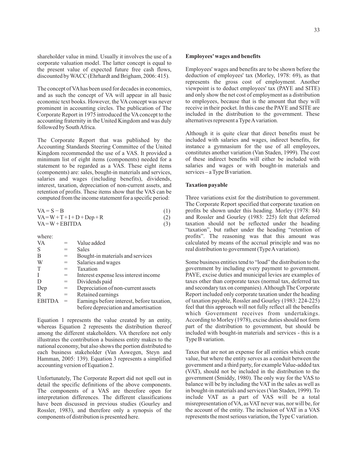shareholder value in mind. Usually it involves the use of a corporate valuation model. The latter concept is equal to the present value of expected future free cash flows, discounted byWACC (Ehrhardt and Brigham, 2006: 415).

The concept of VAhas been used for decades in economics, and as such the concept of VA will appear in all basic economic text books. However, the VA concept was never prominent in accounting circles. The publication of The Corporate Report in 1975 introduced the VA concept to the accounting fraternity in the United Kingdom and was duly followed by SouthAfrica.

The Corporate Report that was published by the Accounting Standards Steering Committee of the United Kingdom recommended the use of a VAS. It provided a minimum list of eight items (components) needed for a statement to be regarded as a VAS. These eight items (components) are: sales, bought-in materials and services, salaries and wages (including benefits), dividends, interest, taxation, depreciation of non-current assets, and retention of profits. These items show that the VAS can be computed from the income statement for a specific period:

| $VA = S - B$                   | (1) |
|--------------------------------|-----|
| $VA = W + T + I + D + Dep + R$ | (2) |
| $VA = W + EBITDA$              | (3) |

where:

| <b>VA</b>     |     | Value added                                |
|---------------|-----|--------------------------------------------|
| S             | $=$ | <b>Sales</b>                               |
| B             | $=$ | Bought-in materials and services           |
| W             | $=$ | Salaries and wages                         |
| T             | $=$ | Taxation                                   |
| I             | $=$ | Interest expense less interest income      |
| D             | $=$ | Dividends paid                             |
| Dep           | $=$ | Depreciation of non-current assets         |
| R             | $=$ | Retained earnings                          |
| <b>EBITDA</b> | $=$ | Earnings before interest, before taxation, |
|               |     | before depreciation and amortisation       |

Equation 1 represents the value created by an entity, whereas Equation 2 represents the distribution thereof among the different stakeholders. VA therefore not only illustrates the contribution a business entity makes to the national economy, but also shows the portion distributed to each business stakeholder (Van Aswegen, Steyn and Hamman, 2005: 139). Equation 3 represents a simplified accounting version of Equation 2.

Unfortunately, The Corporate Report did not spell out in detail the specific definitions of the above components. The components of a VAS are therefore open for interpretation differences. The different classifications have been discussed in previous studies (Gourley and Rossler, 1983), and therefore only a synopsis of the components of distribution is presented here.

#### **Employees' wages and benefits**

Employees' wages and benefits are to be shown before the deduction of employees' tax (Morley, 1978: 69), as that represents the gross cost of employment. Another viewpoint is to deduct employees' tax (PAYE and SITE) and only show the net cost of employment as a distribution to employees, because that is the amount that they will receive in their pocket. In this case the PAYE and SITE are included in the distribution to the government. These alternatives represent a TypeAvariation.

Although it is quite clear that direct benefits must be included with salaries and wages, indirect benefits, for instance a gymnasium for the use of all employees, constitutes another variation (Van Staden, 1999). The cost of these indirect benefits will either be included with salaries and wages or with bought-in materials and services – a Type B variation.

#### **Taxation payable**

Three variations exist for the distribution to government. The Corporate Report specified that corporate taxation on profits be shown under this heading. Morley (1978: 84) and Rossler and Gourley (1983: 225) felt that deferred taxation should not be reflected under the heading "taxation", but rather under the heading "retention of profits". The reasoning was that this amount was calculated by means of the accrual principle and was no real distribution to government (Type A variation).

Some business entities tend to "load" the distribution to the government by including every payment to government. PAYE, excise duties and municipal levies are examples of taxes other than corporate taxes (normal tax, deferred tax and secondary tax on companies).Although The Corporate Report included only corporate taxation under the heading of taxation payable, Rossler and Gourley (1983: 224-225) feel that this approach will not fully reflect all the benefits which Government receives from undertakings. According to Morley (1978), excise duties should not form part of the distribution to government, but should be included with bought-in materials and services - this is a Type B variation.

Taxes that are not an expense for all entities which create value, but where the entity serves as a conduit between the government and a third party, for example Value-added tax (VAT), should not be included in the distribution to the government (Smiddy, 1980). The only way for the VAS to balance will be by including the VAT in the sales as well as in bought-in materials and services (Van Staden, 1999). To include VAT as a part of VAS will be a total misrepresentation of VA, as VAT never was, nor will be, for the account of the entity. The inclusion of VAT in a VAS represents the most serious variation, the Type C variation.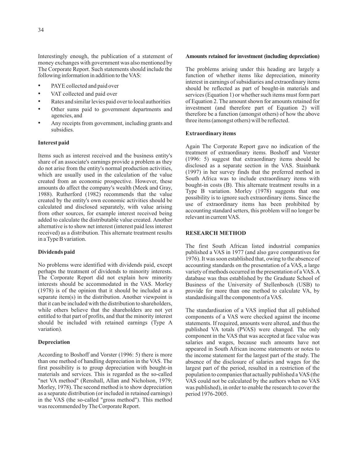Interestingly enough, the publication of a statement of money exchanges with government was also mentioned by The Corporate Report. Such statements should include the following information in addition to the VAS:

- PAYE collected and paid over •
- VAT collected and paid over
- Rates and similar levies paid over to local authorities
- Other sums paid to government departments and agencies, and •
- Any receipts from government, including grants and subsidies. •

#### **Interest paid**

Items such as interest received and the business entity's share of an associate's earnings provide a problem as they do not arise from the entity's normal production activities, which are usually used in the calculation of the value created from an economic prospective. However, these amounts do affect the company's wealth (Meek and Gray, 1988). Rutherford (1982) recommends that the value created by the entity's own economic activities should be calculated and disclosed separately, with value arising from other sources, for example interest received being added to calculate the distributable value created. Another alternative is to show net interest (interest paid less interest received) as a distribution. This alternate treatment results in a Type B variation.

#### **Dividends paid**

No problems were identified with dividends paid, except perhaps the treatment of dividends to minority interests. The Corporate Report did not explain how minority interests should be accommodated in the VAS. Morley (1978) is of the opinion that it should be included as a separate item(s) in the distribution. Another viewpoint is that it can be included with the distribution to shareholders, while others believe that the shareholders are not yet entitled to that part of profits, and that the minority interest should be included with retained earnings (Type A variation).

#### **Depreciation**

According to Boshoff and Vorster (1996: 5) there is more than one method of handling depreciation in the VAS. The first possibility is to group depreciation with bought-in materials and services. This is regarded as the so-called "net VA method" (Renshall, Allan and Nicholson, 1979; Morley, 1978). The second method is to show depreciation as a separate distribution (or included in retained earnings) in the VAS (the so-called "gross method"). This method was recommended by The Corporate Report.

#### **Amounts retained for investment (including depreciation)**

The problems arising under this heading are largely a function of whether items like depreciation, minority interest in earnings of subsidiaries and extraordinary items should be reflected as part of bought-in materials and services (Equation 1) or whether such items must form part of Equation 2. The amount shown for amounts retained for investment (and therefore part of Equation 2) will therefore be a function (amongst others) of how the above three items (amongst others) will be reflected.

#### **Extraordinary items**

Again The Corporate Report gave no indication of the treatment of extraordinary items. Boshoff and Vorster (1996: 5) suggest that extraordinary items should be disclosed as a separate section in the VAS. Stainbank (1997) in her survey finds that the preferred method in South Africa was to include extraordinary items with bought-in costs (B). This alternate treatment results in a Type B variation. Morley (1978) suggests that one possibility is to ignore such extraordinary items. Since the use of extraordinary items has been prohibited by accounting standard setters, this problem will no longer be relevant in current VAS.

#### **RESEARCH METHOD**

The first South African listed industrial companies published a VAS in 1977 (and also gave comparatives for 1976). It was soon established that, owing to the absence of accounting standards on the presentation of a VAS, a large variety of methods occurred in the presentation of a VAS.A database was thus established by the Graduate School of Business of the University of Stellenbosch (USB) to provide for more than one method to calculate VA, by standardising all the components of a VAS.

The standardisation of a VAS implied that all published components of a VAS were checked against the income statements. If required, amounts were altered, and thus the published VA totals (PVAS) were changed. The only component in the VAS that was accepted at face value was salaries and wages, because such amounts have not appeared in South African income statements or notes to the income statement for the largest part of the study. The absence of the disclosure of salaries and wages for the largest part of the period, resulted in a restriction of the population to companies that actually published a VAS (the VAS could not be calculated by the authors when no VAS was published), in order to enable the research to cover the period 1976-2005.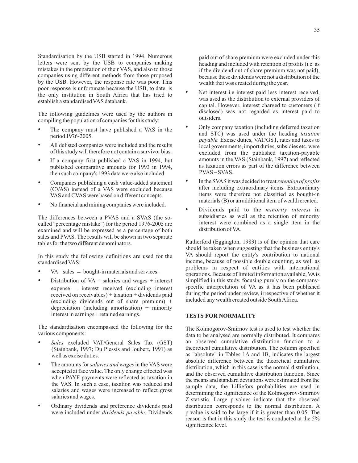Standardisation by the USB started in 1994. Numerous letters were sent by the USB to companies making mistakes in the preparation of their VAS, and also to those companies using different methods from those proposed by the USB. However, the response rate was poor. This poor response is unfortunate because the USB, to date, is the only institution in South Africa that has tried to establish a standardised VAS databank.

The following guidelines were used by the authors in compiling the population of companies for this study:

- The company must have published a VAS in the period 1976-2005. •
- All delisted companies were included and the results of this study will therefore not contain a survivor bias. •
- If a company first published a VAS in 1994, but published comparative amounts for 1993 in 1994, then such company's 1993 data were also included. •
- Companies publishing a cash value-added statement (CVAS) instead of a VAS were excluded because VAS and CVAS were based on different concepts. •
- No financial and mining companies were included.

The differences between a PVAS and a SVAS (the socalled "percentage mistake") for the period 1976-2005 are examined and will be expressed as a percentage of both sales and PVAS. The results will be shown in two separate tables for the two different denominators.

In this study the following definitions are used for the standardised VAS:

- $VA = sales bought-in materials and services.$ •
- expense – interest received (excluding interest Distribution of  $VA =$  salaries and wages  $+$  interest received on receivables) + taxation + dividends paid (excluding dividends out of share premium) + depreciation (including amortisation) + minority interest in earnings + retained earnings.

The standardisation encompassed the following for the various components:

- Sales excluded VAT/General Sales Tax (GST) (Stainbank, 1997; Du Plessis and Joubert, 1991) as well as excise duties. •
- The amounts for *salaries and wages* in the VAS were accepted at face value. The only change effected was when PAYE payments were reflected as taxation in the VAS. In such a case, taxation was reduced and salaries and wages were increased to reflect gross salaries and wages. •
- Ordinary dividends and preference dividends paid were included under *dividends payable*. Dividends •

paid out of share premium were excluded under this heading and included with retention of profits (i.e. as if the dividend out of share premium was not paid), because these dividends were not a distribution of the wealth that was created during the year.

- Net interest i.e interest paid less interest received, was used as the distribution to external providers of capital. However, interest charged to customers (if disclosed) was not regarded as interest paid to outsiders. •
- Only company taxation (including deferred taxation and STC) was used under the heading *taxation* payable. Excise duties, VAT/GST, rates and taxes to local governments, import duties, subsidies etc. were excluded from the published taxation-payable amounts in the VAS (Stainbank, 1997) and reflected as taxation errors as part of the difference between PVAS \_ SVAS. •
- In the SVAS it was decided to treat *retention of profits* after including extraordinary items. Extraordinary items were therefore not classified as bought-in materials (B) or an additional item of wealth created. •
- Dividends paid to the *minority interest* in subsidiaries as well as the retention of minority interest were combined as a single item in the distribution of VA. •

Rutherford (Eggington, 1983) is of the opinion that care should be taken when suggesting that the business entity's VA should report the entity's contribution to national income, because of possible double counting, as well as problems in respect of entities with international operations. Because of limited information available, VAis simplified in this study, focusing purely on the companyspecific interpretation of VA as it has been published during the period under review, irrespective of whether it included any wealth created outside SouthAfrica **.**

## **TESTS FOR NORMALITY**

The Kolmogorov-Smirnov test is used to test whether the data to be analysed are normally distributed. It compares an observed cumulative distribution function to a theoretical cumulative distribution. The column specified as "absolute" in Tables 1A and 1B, indicates the largest absolute difference between the theoretical cumulative distribution, which in this case is the normal distribution, and the observed cumulative distribution function. Since the means and standard deviations were estimated from the sample data, the Lilliefors probabilities are used in determining the significance of the Kolmogorov-Smirnov Z-statistic. Large p-values indicate that the observed distribution corresponds to the normal distribution. A p-value is said to be large if it is greater than 0.05. The reason is that in this study the test is conducted at the 5% significance level.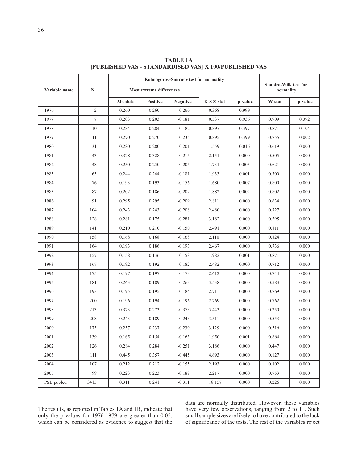|               |                | Kolmogorov-Smirnov test for normality |                 |                 |            |         |           | Shapiro-Wilk test for |  |
|---------------|----------------|---------------------------------------|-----------------|-----------------|------------|---------|-----------|-----------------------|--|
| Variable name | $\mathbf N$    | Most extreme differences              |                 |                 |            |         | normality |                       |  |
|               |                | <b>Absolute</b>                       | <b>Positive</b> | <b>Negative</b> | K-S Z-stat | p-value | W-stat    | p-value               |  |
| 1976          | $\overline{2}$ | 0.260                                 | 0.260           | $-0.260$        | 0.368      | 0.999   |           |                       |  |
| 1977          | $\tau$         | 0.203                                 | 0.203           | $-0.181$        | 0.537      | 0.936   | 0.909     | 0.392                 |  |
| 1978          | 10             | 0.284                                 | 0.284           | $-0.182$        | 0.897      | 0.397   | 0.871     | 0.104                 |  |
| 1979          | 11             | 0.270                                 | 0.270           | $-0.235$        | 0.895      | 0.399   | 0.755     | 0.002                 |  |
| 1980          | 31             | 0.280                                 | 0.280           | $-0.201$        | 1.559      | 0.016   | 0.619     | 0.000                 |  |
| 1981          | 43             | 0.328                                 | 0.328           | $-0.215$        | 2.151      | 0.000   | 0.505     | 0.000                 |  |
| 1982          | 48             | 0.250                                 | 0.250           | $-0.205$        | 1.731      | 0.005   | 0.621     | 0.000                 |  |
| 1983          | 63             | 0.244                                 | 0.244           | $-0.181$        | 1.933      | 0.001   | 0.700     | 0.000                 |  |
| 1984          | 76             | 0.193                                 | 0.193           | $-0.156$        | 1.680      | 0.007   | 0.800     | 0.000                 |  |
| 1985          | 87             | 0.202                                 | 0.186           | $-0.202$        | 1.882      | 0.002   | 0.802     | 0.000                 |  |
| 1986          | 91             | 0.295                                 | 0.295           | $-0.209$        | 2.811      | 0.000   | 0.634     | 0.000                 |  |
| 1987          | 104            | 0.243                                 | 0.243           | $-0.208$        | 2.480      | 0.000   | 0.727     | 0.000                 |  |
| 1988          | 128            | 0.281                                 | 0.175           | $-0.281$        | 3.182      | 0.000   | 0.595     | 0.000                 |  |
| 1989          | 141            | 0.210                                 | 0.210           | $-0.150$        | 2.491      | 0.000   | 0.811     | 0.000                 |  |
| 1990          | 158            | 0.168                                 | 0.168           | $-0.168$        | 2.110      | 0.000   | 0.824     | 0.000                 |  |
| 1991          | 164            | 0.193                                 | 0.186           | $-0.193$        | 2.467      | 0.000   | 0.736     | 0.000                 |  |
| 1992          | 157            | 0.158                                 | 0.136           | $-0.158$        | 1.982      | 0.001   | 0.871     | 0.000                 |  |
| 1993          | 167            | 0.192                                 | 0.192           | $-0.182$        | 2.482      | 0.000   | 0.712     | 0.000                 |  |
| 1994          | 175            | 0.197                                 | 0.197           | $-0.173$        | 2.612      | 0.000   | 0.744     | 0.000                 |  |
| 1995          | 181            | 0.263                                 | 0.189           | $-0.263$        | 3.538      | 0.000   | 0.583     | 0.000                 |  |
| 1996          | 193            | 0.195                                 | 0.195           | $-0.184$        | 2.711      | 0.000   | 0.769     | 0.000                 |  |
| 1997          | 200            | 0.196                                 | 0.194           | $-0.196$        | 2.769      | 0.000   | 0.762     | 0.000                 |  |
| 1998          | 213            | 0.373                                 | 0.273           | $-0.373$        | 5.443      | 0.000   | 0.250     | 0.000                 |  |
| 1999          | 208            | 0.243                                 | 0.189           | $-0.243$        | 3.511      | 0.000   | 0.553     | 0.000                 |  |
| 2000          | 175            | 0.237                                 | 0.237           | $-0.230$        | 3.129      | 0.000   | 0.516     | 0.000                 |  |
| 2001          | 139            | 0.165                                 | 0.154           | $-0.165$        | 1.950      | 0.001   | 0.864     | 0.000                 |  |
| 2002          | 126            | 0.284                                 | 0.284           | $-0.251$        | 3.186      | 0.000   | 0.447     | 0.000                 |  |
| 2003          | 111            | 0.445                                 | 0.357           | $-0.445$        | 4.693      | 0.000   | 0.127     | 0.000                 |  |
| 2004          | 107            | 0.212                                 | 0.212           | $-0.155$        | 2.193      | 0.000   | 0.802     | 0.000                 |  |
| 2005          | 99             | 0.223                                 | 0.223           | $-0.189$        | 2.217      | 0.000   | 0.753     | 0.000                 |  |
| PSB pooled    | 3415           | 0.311                                 | 0.241           | $-0.311$        | 18.157     | 0.000   | 0.226     | 0.000                 |  |

**TABLE 1A [PUBLISHED VAS - STANDARDISED VAS] X 100/PUBLISHED VAS**

The results, as reported in Tables 1A and 1B, indicate that only the p-values for 1976-1979 are greater than 0.05, which can be considered as evidence to suggest that the data are normally distributed. However, these variables have very few observations, ranging from 2 to 11. Such small sample sizes are likely to have contributed to the lack of significance of the tests. The rest of the variables reject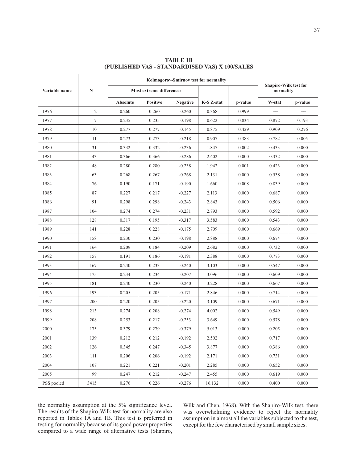|               |                | Kolmogorov-Smirnov test for normality |                          |                 |                       |       |                                    |         |  |
|---------------|----------------|---------------------------------------|--------------------------|-----------------|-----------------------|-------|------------------------------------|---------|--|
| Variable name | $\mathbf N$    |                                       | Most extreme differences |                 |                       |       | Shapiro-Wilk test for<br>normality |         |  |
|               |                | <b>Absolute</b>                       | <b>Positive</b>          | <b>Negative</b> | K-S Z-stat<br>p-value |       | W-stat                             | p-value |  |
| 1976          | $\overline{c}$ | 0.260                                 | 0.260                    | $-0.260$        | 0.368                 | 0.999 |                                    |         |  |
| 1977          | $\tau$         | 0.235                                 | 0.235                    | $-0.198$        | 0.622                 | 0.834 | 0.872                              | 0.193   |  |
| 1978          | 10             | 0.277                                 | 0.277                    | $-0.145$        | 0.875                 | 0.429 | 0.909                              | 0.276   |  |
| 1979          | 11             | 0.273                                 | 0.273                    | $-0.218$        | 0.907                 | 0.383 | 0.782                              | 0.005   |  |
| 1980          | 31             | 0.332                                 | 0.332                    | $-0.236$        | 1.847                 | 0.002 | 0.433                              | 0.000   |  |
| 1981          | 43             | 0.366                                 | 0.366                    | $-0.286$        | 2.402                 | 0.000 | 0.332                              | 0.000   |  |
| 1982          | 48             | 0.280                                 | 0.280                    | $-0.238$        | 1.942                 | 0.001 | 0.423                              | 0.000   |  |
| 1983          | 63             | 0.268                                 | 0.267                    | $-0.268$        | 2.131                 | 0.000 | 0.538                              | 0.000   |  |
| 1984          | 76             | 0.190                                 | 0.171                    | $-0.190$        | 1.660                 | 0.008 | 0.839                              | 0.000   |  |
| 1985          | 87             | 0.227                                 | 0.217                    | $-0.227$        | 2.113                 | 0.000 | 0.687                              | 0.000   |  |
| 1986          | 91             | 0.298                                 | 0.298                    | $-0.243$        | 2.843                 | 0.000 | 0.506                              | 0.000   |  |
| 1987          | 104            | 0.274                                 | 0.274                    | $-0.231$        | 2.793                 | 0.000 | 0.592                              | 0.000   |  |
| 1988          | 128            | 0.317                                 | 0.195                    | $-0.317$        | 3.583                 | 0.000 | 0.543                              | 0.000   |  |
| 1989          | 141            | 0.228                                 | 0.228                    | $-0.175$        | 2.709                 | 0.000 | 0.669                              | 0.000   |  |
| 1990          | 158            | 0.230                                 | 0.230                    | $-0.198$        | 2.888                 | 0.000 | 0.674                              | 0.000   |  |
| 1991          | 164            | 0.209                                 | 0.184                    | $-0.209$        | 2.682                 | 0.000 | 0.732                              | 0.000   |  |
| 1992          | 157            | 0.191                                 | 0.186                    | $-0.191$        | 2.388                 | 0.000 | 0.773                              | 0.000   |  |
| 1993          | 167            | 0.240                                 | 0.233                    | $-0.240$        | 3.103                 | 0.000 | 0.547                              | 0.000   |  |
| 1994          | 175            | 0.234                                 | 0.234                    | $-0.207$        | 3.096                 | 0.000 | 0.609                              | 0.000   |  |
| 1995          | 181            | 0.240                                 | 0.230                    | $-0.240$        | 3.228                 | 0.000 | 0.667                              | 0.000   |  |
| 1996          | 193            | 0.205                                 | 0.205                    | $-0.171$        | 2.846                 | 0.000 | 0.714                              | 0.000   |  |
| 1997          | 200            | 0.220                                 | 0.205                    | $-0.220$        | 3.109                 | 0.000 | 0.671                              | 0.000   |  |
| 1998          | 213            | 0.274                                 | 0.208                    | $-0.274$        | 4.002                 | 0.000 | 0.549                              | 0.000   |  |
| 1999          | 208            | 0.253                                 | 0.217                    | $-0.253$        | 3.649                 | 0.000 | 0.578                              | 0.000   |  |
| 2000          | 175            | 0.379                                 | 0.279                    | $-0.379$        | 5.013                 | 0.000 |                                    | 0.000   |  |
| 2001          | 139            | 0.212                                 | 0.212                    | $-0.192$        | 2.502                 | 0.000 | 0.717                              | 0.000   |  |
| 2002          | 126            | 0.345                                 | 0.247                    | $-0.345$        | 3.877                 | 0.000 | 0.386                              | 0.000   |  |
| 2003          | 111            | 0.206                                 | 0.206                    | $-0.192$        | 2.171                 | 0.000 | 0.731                              | 0.000   |  |
| 2004          | 107            | 0.221                                 | 0.221                    | $-0.201$        | 2.285                 | 0.000 | 0.652                              | 0.000   |  |
| 2005          | 99             | 0.247                                 | 0.212                    | $-0.247$        | 2.455                 | 0.000 | 0.619                              | 0.000   |  |
| PSS pooled    | 3415           | 0.276                                 | 0.226                    | $-0.276$        | 16.132                | 0.000 | 0.400                              | 0.000   |  |

**TABLE 1B (PUBLISHED VAS - STANDARDISED VAS) X 100/SALES**

the normality assumption at the 5% significance level. The results of the Shapiro-Wilk test for normality are also reported in Tables 1A and 1B. This test is preferred in testing for normality because of its good power properties compared to a wide range of alternative tests (Shapiro, Wilk and Chen, 1968). With the Shapiro-Wilk test, there was overwhelming evidence to reject the normality assumption in almost all the variables subjected to the test, except for the few characterised by small sample sizes.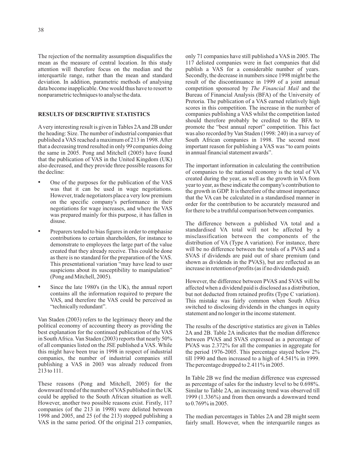The rejection of the normality assumption disqualifies the mean as the measure of central location. In this study attention will therefore focus on the median and the interquartile range, rather than the mean and standard deviation. In addition, parametric methods of analysing data become inapplicable. One would thus have to resort to nonparametric techniques to analyse the data.

## **RESULTS OF DESCRIPTIVE STATISTICS**

A very interesting result is given in Tables 2Aand 2B under the heading: Size. The number of industrial companies that published a VAS reached a maximum of 213 in 1998.After that a decreasing trend resulted in only 99 companies doing the same in 2005. Pong and Mitchell (2005) have found that the publication of VAS in the United Kingdom (UK) also decreased, and they provide three possible reasons for the decline:

- One of the purposes for the publication of the VAS was that it can be used in wage negotiations. However, trade negotiators place a very low premium on the specific company's performance in their negotiations for wage increases, and where the VAS was prepared mainly for this purpose, it has fallen in disuse. •
- Preparers tended to bias figures in order to emphasise contributions to certain shareholders, for instance to demonstrate to employees the large part of the value created that they already receive. This could be done as there is no standard for the preparation of the VAS. This presentational variation "may have lead to user suspicions about its susceptibility to manipulation" (Pong and Mitchell, 2005). •
- Since the late 1980's (in the UK), the annual report contains all the information required to prepare the VAS, and therefore the VAS could be perceived as "technically redundant". •

Van Staden (2003) refers to the legitimacy theory and the political economy of accounting theory as providing the best explanation for the continued publication of the VAS in SouthAfrica. Van Staden (2003) reports that nearly 50% of all companies listed on the JSE published a VAS. While this might have been true in 1998 in respect of industrial companies, the number of industrial companies still publishing a VAS in 2003 was already reduced from 213 to 111.

These reasons (Pong and Mitchell, 2005) for the downward trend of the number of VAS published in the UK could be applied to the South African situation as well. However, another two possible reasons exist. Firstly, 117 companies (of the 213 in 1998) were delisted between 1998 and 2005, and 25 (of the 213) stopped publishing a VAS in the same period. Of the original 213 companies, only 71 companies have still published a VAS in 2005. The 117 delisted companies were in fact companies that did publish a VAS for a considerable number of years. Secondly, the decrease in numbers since 1998 might be the result of the discontinuance in 1999 of a joint annual competition sponsored by The Financial Mail and the Bureau of Financial Analysis (BFA) of the University of Pretoria. The publication of a VAS earned relatively high scores in this competition. The increase in the number of companies publishing a VAS whilst the competition lasted should therefore probably be credited to the BFA to promote the "best annual report" competition. This fact was also recorded by Van Staden (1998: 240) in a survey of South African companies in 1998. The second most important reason for publishing a VAS was "to earn points in annual financial statement awards".

The important information in calculating the contribution of companies to the national economy is the total of VA created during the year, as well as the growth in VA from year to year, as these indicate the company's contribution to the growth in GDP. It is therefore of the utmost importance that the VA can be calculated in a standardised manner in order for the contribution to be accurately measured and for there to be a truthful comparison between companies.

The difference between a published VA total and a standardised VA total will not be affected by a misclassification between the components of the distribution of VA (Type A variation). For instance, there will be no difference between the totals of a PVAS and a SVAS if dividends are paid out of share premium (and shown as dividends in the PVAS), but are reflected as an increase in retention of profits (as if no dividends paid).

However, the difference between PVAS and SVAS will be affected when a dividend paid is disclosed as a distribution, but not deducted from retained profits (Type C variation). This mistake was fairly common when South Africa switched to disclosing dividends in the changes in equity statement and no longer in the income statement.

The results of the descriptive statistics are given in Tables 2A and 2B. Table 2A indicates that the median difference between PVAS and SVAS expressed as a percentage of PVAS was 2.372% for all the companies in aggregate for the period 1976-2005. This percentage stayed below 2% till 1990 and then increased to a high of 4.541% in 1999. The percentage dropped to 2.411% in 2005.

In Table 2B we find the median difference was expressed as percentage of sales for the industry level to be 0.698%. Similar to Table 2A, an increasing trend was observed till 1999 (1.336%) and from then onwards a downward trend to 0.769% in 2005.

The median percentages in Tables 2A and 2B might seem fairly small. However, when the interquartile ranges as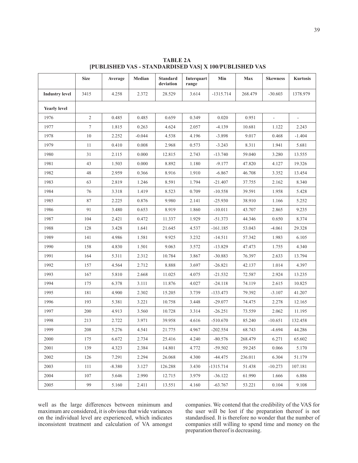3415 4.258 2.372 28.529 3.614 -1315.714 268.479 -30.603 1378.979 1976 | 2 | 0.485 | 0.485 | 0.659 | 0.349 | 0.020 | 0.951 | - | -1977 | 1.815 | 0.263 | 4.624 | 2.057 | -4.139 | 10.681 | 1.122 | 2.243 1978 | 10 | 2.252 | -0.044 | 4.538 | 4.196 | -3.898 | 9.017 | 0.468 | -1.404 1979 | 11 | 0.410 | 0.008 | 2.968 | 0.573 | -3.243 | 8.311 | 1.941 | 5.681 1980 | 31 | 2.115 | 0.000 | 12.815 | 2.743 | -13.740 | 59.040 | 3.280 | 13.555 1981 | 43 | 1.503 | 0.000 | 8.892 | 1.180 | -9.177 | 47.820 | 4.127 | 19.326 1982 48 2.959 0.366 8.916 1.910 -6.867 46.708 3.352 13.454 1983 63 2.819 1.246 8.591 1.794 -21.407 37.755 2.162 8.340 1984 76 3.318 1.419 8.523 0.709 -10.558 39.591 1.958 5.428 1985 87 2.225 0.876 9.980 2.141 -25.930 38.910 1.166 5.252 1986 91 3.480 0.653 8.919 1.860 -10.011 43.707 2.865 9.235 1987 | 104 | 2.421 | 0.472 | 11.337 | 1.929 | -51.373 | 44.346 | 0.650 | 8.374 1988 | 128 | 3.428 | 1.641 | 21.645 | 4.537 | -161.185 | 53.043 | -4.061 | 29.328 1989 | 141 | 4.986 | 1.581 | 9.925 | 3.232 | -14.511 | 57.342 | 1.983 | 6.105 1990 | 158 | 4.830 | 1.501 | 9.063 | 3.572 | -13.829 | 47.473 | 1.755 | 4.340 1991 164 5.311 2.312 10.784 3.867 -30.883 76.397 2.633 13.794 1992 | 157 | 4.564 | 2.712 | 8.888 | 3.697 | -26.821 | 42.137 | 1.014 | 4.397 1993 | 167 | 5.810 | 2.668 | 11.025 | 4.075 | -21.532 | 72.587 | 2.924 | 13.235 1994 | 175 | 6.378 | 3.111 | 11.876 | 4.027 | -24.118 | 74.119 | 2.615 | 10.825 1995 181 4.900 2.302 15.205 3.739 -133.473 79.392 -3.107 41.207 1996 193 | 5.381 | 3.221 | 10.758 | 3.448 | -29.077 | 74.475 | 2.278 | 12.165 1997 | 200 | 4.913 | 3.560 | 10.728 | 3.314 | -26.251 | 73.559 | 2.062 | 11.195 1998 213 2.722 3.971 39.958 4.616 -510.670 85.240 -10.651 132.458 1999 | 208 | 5.276 | 4.541 | 21.775 | 4.967 | 202.554 | 68.743 | -4.694 | 44.286 2000 | 175 | 6.672 | 2.734 | 25.416 | 4.240 | -80.576 | 268.479 | 6.271 | 65.602 2001 | 139 | 4.323 | 2.384 | 14.801 | 4.772 | -59.502 | 59.245 | 0.066 | 5.170 2002 | 126 | 7.291 | 2.294 | 26.068 | 4.300 | -44.475 | 236.011 | 6.304 | 51.179 2003 111 -8.380 3.127 126.288 3.430 -1315.714 51.438 -10.273 107.181 2004 107 5.646 2.990 12.715 3.979 -36.122 61.990 1.666 6.886 2005 99 5.160 2.411 13.551 4.160 -63.767 53.221 0.104 9.108 **Size Average Median Standard Interquart Min Max Skewness Kurtosis deviation range Industry level Yearly level**

**TABLE 2A [PUBLISHED VAS - STANDARDISED VAS] X 100/PUBLISHED VAS**

well as the large differences between minimum and maximum are considered, it is obvious that wide variances on the individual level are experienced, which indicates inconsistent treatment and calculation of VA amongst

companies. We contend that the credibility of the VAS for the user will be lost if the preparation thereof is not standardised. It is therefore no wonder that the number of companies still willing to spend time and money on the preparation thereof is decreasing.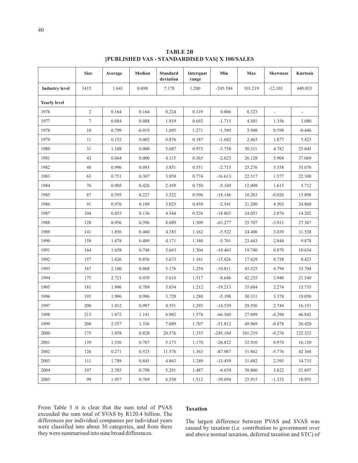|                       | <b>Size</b> | Average | Median   | <b>Standard</b><br>deviation | Interquat<br>range | Min        | Max     | <b>Skewness</b> | <b>Kurtosis</b> |
|-----------------------|-------------|---------|----------|------------------------------|--------------------|------------|---------|-----------------|-----------------|
| <b>Industry level</b> | 3415        | 1.641   | 0.698    | 7.178                        | 1.200              | $-245.184$ | 101.219 | $-12.103$       | 440.033         |
| <b>Yearly level</b>   |             |         |          |                              |                    |            |         |                 |                 |
| 1976                  | $\sqrt{2}$  | 0.164   | 0.164    | 0.224                        | 0.119              | 0.006      | 0.323   | $\equiv$        |                 |
| 1977                  | 7           | 0.684   | 0.088    | 1.919                        | 0.692              | $-1.715$   | 4.501   | 1.356           | 3.080           |
| 1978                  | 10          | 0.799   | $-0.019$ | 1.695                        | 1.271              | $-1.589$   | 3.948   | 0.598           | $-0.446$        |
| 1979                  | 11          | 0.152   | 0.002    | 0.876                        | 0.187              | $-1.042$   | 2.463   | 1.877           | 5.423           |
| 1980                  | 31          | 1.108   | 0.000    | 5.687                        | 0.973              | $-3.738$   | 30.311  | 4.782           | 25.045          |
| 1981                  | 43          | 0.664   | 0.000    | 4.115                        | 0.365              | $-2.623$   | 26.128  | 5.904           | 37.069          |
| 1982                  | 48          | 0.996   | 0.093    | 3.851                        | 0.551              | $-2.715$   | 25.276  | 5.558           | 35.076          |
| 1983                  | 63          | 0.751   | 0.307    | 3.859                        | 0.774              | $-16.613$  | 22.517  | 1.577           | 22.300          |
| 1984                  | 76          | 0.905   | 0.426    | 2.459                        | 0.750              | $-5.169$   | 12.008  | 1.615           | 5.712           |
| 1985                  | 87          | 0.595   | 0.227    | 3.522                        | 0.596              | $-18.146$  | 18.263  | $-0.026$        | 15.898          |
| 1986                  | 91          | 0.976   | 0.189    | 3.025                        | 0.450              | $-2.541$   | 21.280  | 4.503           | 24.860          |
| 1987                  | 104         | 0.855   | 0.136    | 4.544                        | 0.526              | $-18.803$  | 24.051  | 2.076           | 14.202          |
| 1988                  | 128         | 0.956   | 0.396    | 8.689                        | 1.309              | $-63.277$  | 25.707  | $-3.931$        | 27.367          |
| 1989                  | 141         | 1.856   | 0.460    | 4.183                        | 1.162              | $-5.522$   | 24.406  | 3.039           | 11.528          |
| 1990                  | 158         | 1.878   | 0.489    | 4.171                        | 1.340              | $-5.701$   | 23.443  | 2.844           | 9.878           |
| 1991                  | 164         | 1.658   | 0.748    | 3.663                        | 1.304              | $-18.463$  | 19.740  | 0.870           | 10.634          |
| 1992                  | 157         | 1.626   | 0.856    | 3.673                        | 1.161              | $-15.826$  | 17.629  | 0.738           | 8.423           |
| 1993                  | 167         | 2.100   | 0.868    | 5.176                        | 1.254              | $-10.811$  | 43.525  | 4.794           | 33.704          |
| 1994                  | 175         | 2.721   | 0.939    | 5.610                        | 1.517              | $-8.646$   | 42.235  | 3.940           | 21.540          |
| 1995                  | 181         | 1.996   | 0.789    | 5.034                        | 1.212              | $-19.213$  | 35.684  | 2.274           | 15.735          |
| 1996                  | 193         | 1.996   | 0.996    | 3.729                        | 1.280              | $-5.198$   | 30.331  | 3.378           | 19.050          |
| 1997                  | 200         | 1.912   | 0.987    | 4.551                        | 1.293              | $-14.529$  | 29.556  | 2.744           | 16.151          |
| 1998                  | 213         | 1.872   | 1.141    | 6.982                        | 1.578              | $-66.560$  | 27.899  | $-4.394$        | 46.842          |
| 1999                  | 208         | 2.357   | 1.336    | 7.689                        | 1.707              | $-51.812$  | 49.969  | $-0.878$        | 26.420          |
| 2000                  | 175         | 1.058   | 0.828    | 20.576                       | 1.333              | $-245.184$ | 101.219 | $-9.276$        | 122.323         |
| 2001                  | 139         | 1.536   | 0.707    | 5.173                        | 1.170              | $-26.822$  | 32.910  | 0.974           | 16.150          |
| 2002                  | 126         | 0.271   | 0.523    | 11.576                       | 1.363              | $-87.987$  | 31.862  | $-5.776$        | 42.368          |
| 2003                  | 111         | 1.789   | 0.845    | 4.863                        | 1.249              | $-15.459$  | 31.682  | 2.393           | 14.715          |
| 2004                  | 107         | 2.383   | 0.798    | 5.291                        | 1.487              | $-4.639$   | 38.860  | 3.822           | 21.697          |
| 2005                  | 99          | 1.957   | 0.769    | 6.550                        | 1.512              | $-39.694$  | 25.915  | $-1.332$        | 18.955          |

**TABLE 2B [PUBLISHED VAS - STANDARDISED VAS] X 100/SALES**

From Table 3 it is clear that the sum total of PVAS exceeded the sum total of SVAS by R120.4 billion. The differences per individual companies per individual years were classified into about 30 categories, and from there they were summarised into nine broad differences.

## **Taxation**

The largest difference between PVAS and SVAS was caused by taxation (i.e contribution to government over *.* and above normal taxation, deferred taxation and STC) of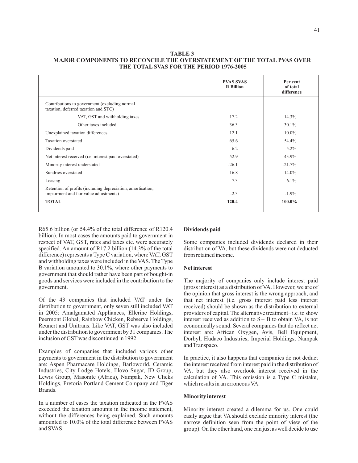## **TABLE 3 MAJOR COMPONENTS TO RECONCILE THE OVERSTATEMENT OF THE TOTAL PVAS OVER THE TOTAL SVAS FOR THE PERIOD 1976-2005**

|                                                                                                       | <b>PVAS SVAS</b><br><b>R</b> Billion | Per cent<br>of total<br>difference |
|-------------------------------------------------------------------------------------------------------|--------------------------------------|------------------------------------|
| Contributions to government (excluding normal<br>taxation, deferred taxation and STC)                 |                                      |                                    |
| VAT, GST and withholding taxes                                                                        | 17.2                                 | 14.3%                              |
| Other taxes included                                                                                  | 36.3                                 | $30.1\%$                           |
| Unexplained taxation differences                                                                      | 12.1                                 | $10.0\%$                           |
| Taxation overstated                                                                                   | 65.6                                 | 54.4%                              |
| Dividends paid                                                                                        | 6.2                                  | $5.2\%$                            |
| Net interest received (i.e. interest paid overstated)                                                 | 52.9                                 | 43.9%                              |
| Minority interest understated                                                                         | $-26.1$                              | $-21.7%$                           |
| Sundries overstated                                                                                   | 16.8                                 | $14.0\%$                           |
| Leasing                                                                                               | 7.3                                  | $6.1\%$                            |
| Retention of profits (including depreciation, amortisation,<br>impairment and fair value adjustments) | $-2.3$                               | $-1.9\%$                           |
| <b>TOTAL</b>                                                                                          | 120.4                                | 100.0%                             |

R65.6 billion (or 54.4% of the total difference of R120.4 billion). In most cases the amounts paid to government in respect of VAT, GST, rates and taxes etc. were accurately specified. An amount of R17.2 billion (14.3% of the total difference) represents a Type C variation, where VAT, GST and withholding taxes were included in the VAS. The Type B variation amounted to 30.1%, where other payments to government that should rather have been part of bought-in goods and services were included in the contribution to the government.

Of the 43 companies that included VAT under the distribution to government, only seven still included VAT in 2005: Amalgamated Appliances, Ellerine Holdings, Peermont Global, Rainbow Chicken, Rebserve Holdings, Reunert and Unitrans. Like VAT, GST was also included under the distribution to government by 31 companies. The inclusion of GST was discontinued in 1992.

Examples of companies that included various other payments to government in the distribution to government are: Aspen Pharmacare Holdings, Barloworld, Ceramic Industries, City Lodge Hotels, Illovo Sugar, JD Group, Lewis Group, Masonite (Africa), Nampak, New Clicks Holdings, Pretoria Portland Cement Company and Tiger Brands.

In a number of cases the taxation indicated in the PVAS exceeded the taxation amounts in the income statement, without the differences being explained. Such amounts amounted to 10.0% of the total difference between PVAS and SVAS.

## **Dividends paid**

Some companies included dividends declared in their distribution of VA, but these dividends were not deducted from retained income.

#### **Net interest**

The majority of companies only include interest paid (gross interest) as a distribution of VA. However, we are of the opinion that gross interest is the wrong approach, and that net interest (i.e gross interest paid less interest *.* received) should be shown as the distribution to external providers of capital. The alternative treatment-i.e. to show interest received as addition to  $S - B$  to obtain VA, is not economically sound. Several companies that do reflect net interest are: African Oxygen, Avis, Bell Equipment, Dorbyl, Hudaco Industries, Imperial Holdings, Nampak and Transpaco.

In practice, it also happens that companies do not deduct the interest received from interest paid in the distribution of VA, but they also overlook interest received in the calculation of VA. This omission is a Type C mistake, which results in an erroneous VA.

#### **Minority interest**

Minority interest created a dilemma for us. One could easily argue that VA should exclude minority interest (the narrow definition seen from the point of view of the group). On the other hand, one can just as well decide to use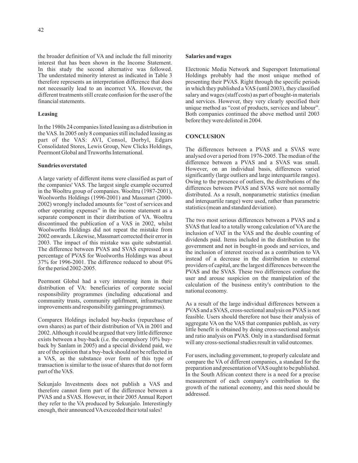the broader definition of VA and include the full minority interest that has been shown in the Income Statement. In this study the second alternative was followed. The understated minority interest as indicated in Table 3 therefore represents an interpretation difference that does not necessarily lead to an incorrect VA. However, the different treatments still create confusion for the user of the financial statements.

## **Leasing**

In the 1980s 24 companies listed leasing as a distribution in the VAS. In 2005 only 8 companies still included leasing as part of the VAS: AVI, Consol, Dorbyl, Edgars Consolidated Stores, Lewis Group, New Clicks Holdings, Peermont Global and Truworths International.

#### **Sundries overstated**

A large variety of different items were classified as part of the companies' VAS. The largest single example occurred in the Wooltru group of companies. Wooltru (1987-2001), Woolworths Holdings (1996-2001) and Massmart (2000- 2002) wrongly included amounts for "cost of services and other operating expenses" in the income statement as a separate component in their distribution of VA. Wooltru discontinued the publication of a VAS in 2002, whilst Woolworths Holdings did not repeat the mistake from 2002 onwards. Likewise, Massmart corrected their error in 2003. The impact of this mistake was quite substantial. The difference between PVAS and SVAS expressed as a percentage of PVAS for Woolworths Holdings was about 37% for 1996-2001. The difference reduced to about 0% for the period 2002-2005.

Peermont Global had a very interesting item in their distribution of VA: beneficiaries of corporate social responsibility programmes (including educational and community trusts, community upliftment, infrastructure improvements and responsibility gaming programmes).

Comparex Holdings included buy-backs (repurchase of own shares) as part of their distribution of VA in 2001 and 2002.Although it could be argued that very little difference exists between a buy-back (i.e. the compulsory 10% buyback by Sanlam in 2005) and a special dividend paid, we are of the opinion that a buy-back should not be reflected in a VAS, as the substance over form of this type of transaction is similar to the issue of shares that do not form part of the VAS.

Sekunjalo Investments does not publish a VAS and therefore cannot form part of the difference between a PVAS and a SVAS. However, in their 2005 Annual Report they refer to the VA produced by Sekunjalo. Interestingly enough, their announced VA exceeded their total sales!

#### **Salaries and wages**

Electronic Media Network and Supersport International Holdings probably had the most unique method of presenting their PVAS. Right through the specific periods in which they published a VAS (until 2003), they classified salary and wages (staff costs) as part of bought-in materials and services. However, they very clearly specified their unique method as "cost of products, services and labour". Both companies continued the above method until 2003 before they were delisted in 2004.

### **CONCLUSION**

The differences between a PVAS and a SVAS were analysed over a period from 1976-2005. The median of the difference between a PVAS and a SVAS was small. However, on an individual basis, differences varied significantly (large outliers and large interquartile ranges). Owing to the presence of outliers, the distributions of the differences between PVAS and SVAS were not normally distributed. As a result, nonparametric statistics (median and interquartile range) were used, rather than parametric statistics (mean and standard deviation).

The two most serious differences between a PVAS and a SVAS that lead to a totally wrong calculation of VA are the inclusion of VAT in the VAS and the double counting of dividends paid. Items included in the distribution to the government and not in bought-in goods and services, and the inclusion of interest received as a contribution to VA instead of a decrease in the distribution to external providers of capital, are the largest differences between the PVAS and the SVAS. These two differences confuse the user and arouse suspicion on the manipulation of the calculation of the business entity's contribution to the national economy.

As a result of the large individual differences between a PVAS and a SVAS, cross-sectional analysis on PVAS is not feasible. Users should therefore not base their analysis of aggregate VA on the VAS that companies publish, as very little benefit is obtained by doing cross-sectional analysis and ratio analysis on PVAS. Only in a standardised format will any cross-sectional studies result in valid outcomes.

For users, including government, to properly calculate and compare the VA of different companies, a standard for the preparation and presentation of VAS ought to be published. In the South African context there is a need for a precise measurement of each company's contribution to the growth of the national economy, and this need should be addressed.